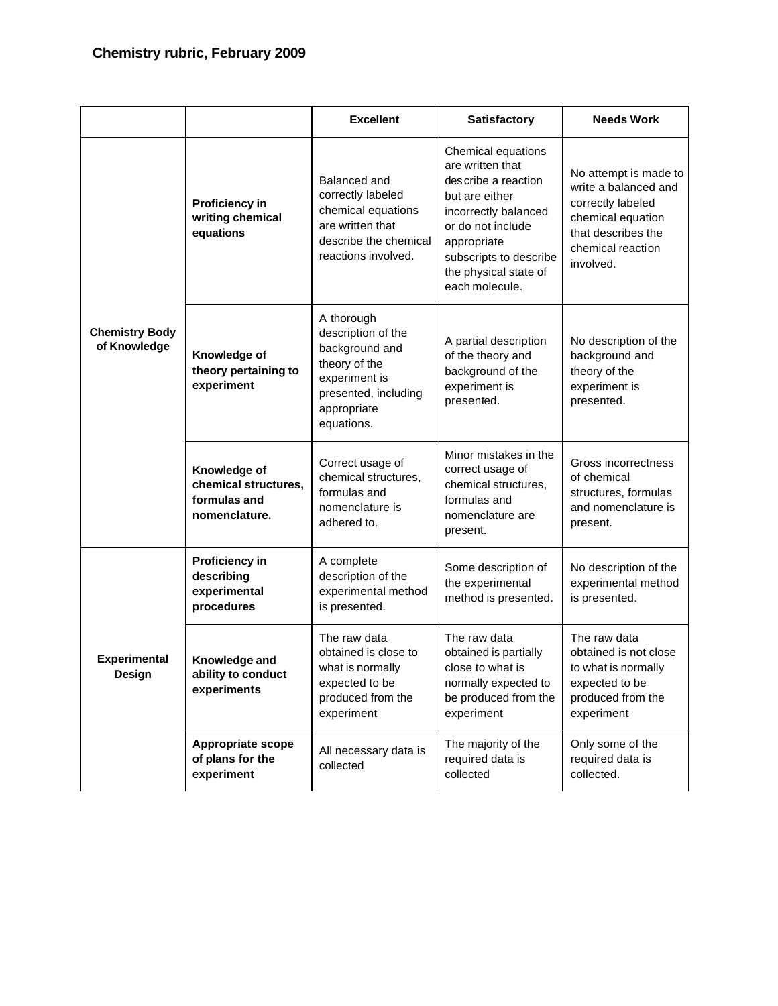|                                       |                                                                       | <b>Excellent</b>                                                                                                                          | <b>Satisfactory</b>                                                                                                                                                                                               | <b>Needs Work</b>                                                                                                                               |
|---------------------------------------|-----------------------------------------------------------------------|-------------------------------------------------------------------------------------------------------------------------------------------|-------------------------------------------------------------------------------------------------------------------------------------------------------------------------------------------------------------------|-------------------------------------------------------------------------------------------------------------------------------------------------|
| <b>Chemistry Body</b><br>of Knowledge | Proficiency in<br>writing chemical<br>equations                       | Balanced and<br>correctly labeled<br>chemical equations<br>are written that<br>describe the chemical<br>reactions involved.               | Chemical equations<br>are written that<br>des cribe a reaction<br>but are either<br>incorrectly balanced<br>or do not include<br>appropriate<br>subscripts to describe<br>the physical state of<br>each molecule. | No attempt is made to<br>write a balanced and<br>correctly labeled<br>chemical equation<br>that describes the<br>chemical reaction<br>involved. |
|                                       | Knowledge of<br>theory pertaining to<br>experiment                    | A thorough<br>description of the<br>background and<br>theory of the<br>experiment is<br>presented, including<br>appropriate<br>equations. | A partial description<br>of the theory and<br>background of the<br>experiment is<br>presented.                                                                                                                    | No description of the<br>background and<br>theory of the<br>experiment is<br>presented.                                                         |
|                                       | Knowledge of<br>chemical structures,<br>formulas and<br>nomenclature. | Correct usage of<br>chemical structures,<br>formulas and<br>nomenclature is<br>adhered to.                                                | Minor mistakes in the<br>correct usage of<br>chemical structures,<br>formulas and<br>nomenclature are<br>present.                                                                                                 | Gross incorrectness<br>of chemical<br>structures, formulas<br>and nomenclature is<br>present.                                                   |
| <b>Experimental</b><br><b>Design</b>  | Proficiency in<br>describing<br>experimental<br>procedures            | A complete<br>description of the<br>experimental method<br>is presented.                                                                  | Some description of<br>the experimental<br>method is presented.                                                                                                                                                   | No description of the<br>experimental method<br>is presented.                                                                                   |
|                                       | Knowledge and<br>ability to conduct<br>experiments                    | The raw data<br>obtained is close to<br>what is normally<br>expected to be<br>produced from the<br>experiment                             | The raw data<br>obtained is partially<br>close to what is<br>normally expected to<br>be produced from the<br>experiment                                                                                           | The raw data<br>obtained is not close<br>to what is normally<br>expected to be<br>produced from the<br>experiment                               |
|                                       | <b>Appropriate scope</b><br>of plans for the<br>experiment            | All necessary data is<br>collected                                                                                                        | The majority of the<br>required data is<br>collected                                                                                                                                                              | Only some of the<br>required data is<br>collected.                                                                                              |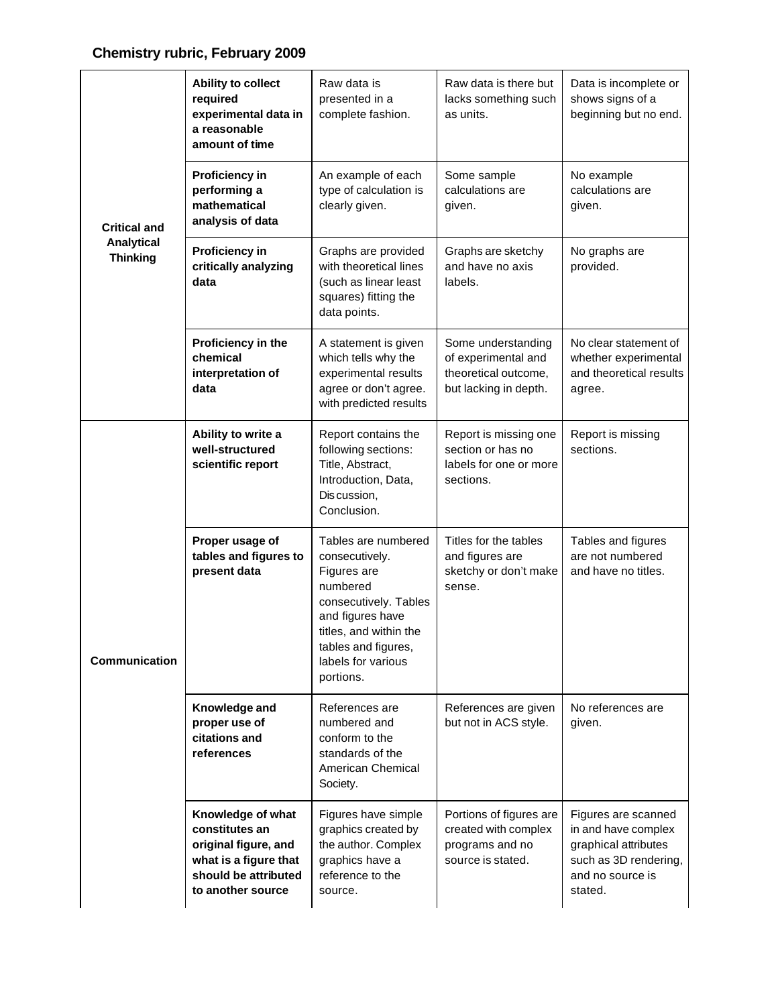## **Chemistry rubric, February 2009**

| <b>Critical and</b><br><b>Analytical</b><br><b>Thinking</b> | Ability to collect<br>required<br>experimental data in<br>a reasonable<br>amount of time                                          | Raw data is<br>presented in a<br>complete fashion.                                                                                                                                                | Raw data is there but<br>lacks something such<br>as units.                                 | Data is incomplete or<br>shows signs of a<br>beginning but no end.                                                         |
|-------------------------------------------------------------|-----------------------------------------------------------------------------------------------------------------------------------|---------------------------------------------------------------------------------------------------------------------------------------------------------------------------------------------------|--------------------------------------------------------------------------------------------|----------------------------------------------------------------------------------------------------------------------------|
|                                                             | <b>Proficiency in</b><br>performing a<br>mathematical<br>analysis of data                                                         | An example of each<br>type of calculation is<br>clearly given.                                                                                                                                    | Some sample<br>calculations are<br>given.                                                  | No example<br>calculations are<br>given.                                                                                   |
|                                                             | <b>Proficiency in</b><br>critically analyzing<br>data                                                                             | Graphs are provided<br>with theoretical lines<br>(such as linear least<br>squares) fitting the<br>data points.                                                                                    | Graphs are sketchy<br>and have no axis<br>labels.                                          | No graphs are<br>provided.                                                                                                 |
|                                                             | Proficiency in the<br>chemical<br>interpretation of<br>data                                                                       | A statement is given<br>which tells why the<br>experimental results<br>agree or don't agree.<br>with predicted results                                                                            | Some understanding<br>of experimental and<br>theoretical outcome,<br>but lacking in depth. | No clear statement of<br>whether experimental<br>and theoretical results<br>agree.                                         |
| Communication                                               | Ability to write a<br>well-structured<br>scientific report                                                                        | Report contains the<br>following sections:<br>Title, Abstract,<br>Introduction, Data,<br>Discussion,<br>Conclusion.                                                                               | Report is missing one<br>section or has no<br>labels for one or more<br>sections.          | Report is missing<br>sections.                                                                                             |
|                                                             | Proper usage of<br>tables and figures to<br>present data                                                                          | Tables are numbered<br>consecutively.<br>Figures are<br>numbered<br>consecutively. Tables<br>and figures have<br>titles, and within the<br>tables and figures,<br>labels for various<br>portions. | Titles for the tables<br>and figures are<br>sketchy or don't make<br>sense.                | Tables and figures<br>are not numbered<br>and have no titles.                                                              |
|                                                             | Knowledge and<br>proper use of<br>citations and<br>references                                                                     | References are<br>numbered and<br>conform to the<br>standards of the<br>American Chemical<br>Society.                                                                                             | References are given<br>but not in ACS style.                                              | No references are<br>given.                                                                                                |
|                                                             | Knowledge of what<br>constitutes an<br>original figure, and<br>what is a figure that<br>should be attributed<br>to another source | Figures have simple<br>graphics created by<br>the author. Complex<br>graphics have a<br>reference to the<br>source.                                                                               | Portions of figures are<br>created with complex<br>programs and no<br>source is stated.    | Figures are scanned<br>in and have complex<br>graphical attributes<br>such as 3D rendering,<br>and no source is<br>stated. |